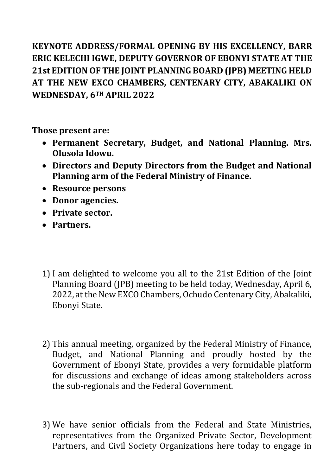**KEYNOTE ADDRESS/FORMAL OPENING BY HIS EXCELLENCY, BARR ERIC KELECHI IGWE, DEPUTY GOVERNOR OF EBONYI STATE AT THE 21st EDITION OF THE JOINT PLANNING BOARD (JPB) MEETING HELD AT THE NEW EXCO CHAMBERS, CENTENARY CITY, ABAKALIKI ON WEDNESDAY, 6TH APRIL 2022**

**Those present are:**

- **Permanent Secretary, Budget, and National Planning. Mrs. Olusola Idowu.**
- **Directors and Deputy Directors from the Budget and National Planning arm of the Federal Ministry of Finance.**
- **Resource persons**
- **Donor agencies.**
- **Private sector.**
- **Partners.**
- 1) I am delighted to welcome you all to the 21st Edition of the Joint Planning Board (JPB) meeting to be held today, Wednesday, April 6, 2022, at the New EXCO Chambers, Ochudo Centenary City, Abakaliki, Ebonyi State.
- 2) This annual meeting, organized by the Federal Ministry of Finance, Budget, and National Planning and proudly hosted by the Government of Ebonyi State, provides a very formidable platform for discussions and exchange of ideas among stakeholders across the sub-regionals and the Federal Government.
- 3) We have senior officials from the Federal and State Ministries, representatives from the Organized Private Sector, Development Partners, and Civil Society Organizations here today to engage in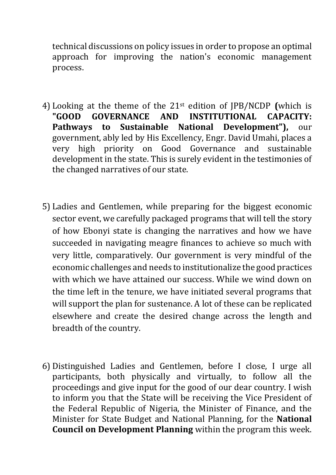technical discussions on policy issues in order to propose an optimal approach for improving the nation's economic management process.

- 4) Looking at the theme of the 21st edition of JPB/NCDP **(**which is **"GOOD GOVERNANCE AND INSTITUTIONAL CAPACITY: Pathways to Sustainable National Development"),** our government, ably led by His Excellency, Engr. David Umahi, places a very high priority on Good Governance and sustainable development in the state. This is surely evident in the testimonies of the changed narratives of our state.
- 5) Ladies and Gentlemen, while preparing for the biggest economic sector event, we carefully packaged programs that will tell the story of how Ebonyi state is changing the narratives and how we have succeeded in navigating meagre finances to achieve so much with very little, comparatively. Our government is very mindful of the economic challenges and needs to institutionalize the good practices with which we have attained our success. While we wind down on the time left in the tenure, we have initiated several programs that will support the plan for sustenance. A lot of these can be replicated elsewhere and create the desired change across the length and breadth of the country.
- 6) Distinguished Ladies and Gentlemen, before I close, I urge all participants, both physically and virtually, to follow all the proceedings and give input for the good of our dear country. I wish to inform you that the State will be receiving the Vice President of the Federal Republic of Nigeria, the Minister of Finance, and the Minister for State Budget and National Planning, for the **National Council on Development Planning** within the program this week.